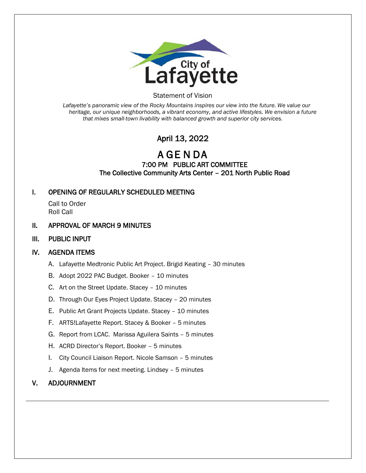

### Statement of Vision

*Lafayette's panoramic view of the Rocky Mountains inspires our view into the future. We value our heritage, our unique neighborhoods, a vibrant economy, and active lifestyles. We envision a future that mixes small-town livability with balanced growth and superior city services.*

# April 13, 2022

A GE N DA

# 7:00 PM PUBLIC ART COMMITTEE The Collective Community Arts Center – 201 North Public Road

# I. OPENING OF REGULARLY SCHEDULED MEETING

Call to Order Roll Call

# II. APPROVAL OF MARCH 9 MINUTES

# III. PUBLIC INPUT

# IV. AGENDA ITEMS

- A. Lafayette Medtronic Public Art Project. Brigid Keating 30 minutes
- B. Adopt 2022 PAC Budget. Booker 10 minutes
- C. Art on the Street Update. Stacey 10 minutes
- D. Through Our Eyes Project Update. Stacey 20 minutes
- E. Public Art Grant Projects Update. Stacey 10 minutes
- F. ARTS!Lafayette Report. Stacey & Booker 5 minutes
- G. Report from LCAC. Marissa Aguilera Saints 5 minutes
- H. ACRD Director's Report. Booker 5 minutes
- I. City Council Liaison Report. Nicole Samson 5 minutes
- J. Agenda Items for next meeting. Lindsey 5 minutes

# V. ADJOURNMENT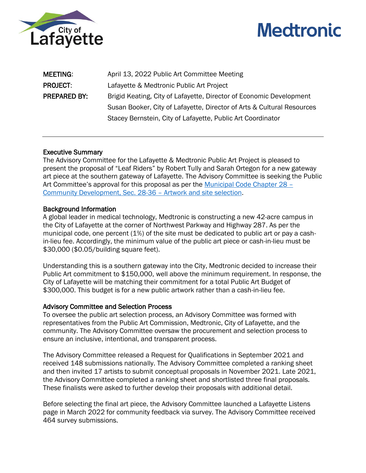



| <b>MEETING:</b>     | April 13, 2022 Public Art Committee Meeting                            |
|---------------------|------------------------------------------------------------------------|
| <b>PROJECT:</b>     | Lafayette & Medtronic Public Art Project                               |
| <b>PREPARED BY:</b> | Brigid Keating, City of Lafayette, Director of Economic Development    |
|                     | Susan Booker, City of Lafayette, Director of Arts & Cultural Resources |
|                     | Stacey Bernstein, City of Lafayette, Public Art Coordinator            |

### Executive Summary

The Advisory Committee for the Lafayette & Medtronic Public Art Project is pleased to present the proposal of "Leaf Riders" by Robert Tully and Sarah Ortegon for a new gateway art piece at the southern gateway of Lafayette. The Advisory Committee is seeking the Public Art Committee's approval for this proposal as per the [Municipal Code Chapter 28](https://library.municode.com/co/lafayette/codes/code_of_ordinances?nodeId=COOR_CH28CODE_ARTIVPUAR) – [Community Development, Sec. 28-36](https://library.municode.com/co/lafayette/codes/code_of_ordinances?nodeId=COOR_CH28CODE_ARTIVPUAR) – Artwork and site selection.

### Background Information

A global leader in medical technology, Medtronic is constructing a new 42-acre campus in the City of Lafayette at the corner of Northwest Parkway and Highway 287. As per the municipal code, one percent (1%) of the site must be dedicated to public art or pay a cashin-lieu fee. Accordingly, the minimum value of the public art piece or cash-in-lieu must be \$30,000 (\$0.05/building square feet).

Understanding this is a southern gateway into the City, Medtronic decided to increase their Public Art commitment to \$150,000, well above the minimum requirement. In response, the City of Lafayette will be matching their commitment for a total Public Art Budget of \$300,000. This budget is for a new public artwork rather than a cash-in-lieu fee.

#### Advisory Committee and Selection Process

To oversee the public art selection process, an Advisory Committee was formed with representatives from the Public Art Commission, Medtronic, City of Lafayette, and the community. The Advisory Committee oversaw the procurement and selection process to ensure an inclusive, intentional, and transparent process.

The Advisory Committee released a Request for Qualifications in September 2021 and received 148 submissions nationally. The Advisory Committee completed a ranking sheet and then invited 17 artists to submit conceptual proposals in November 2021. Late 2021, the Advisory Committee completed a ranking sheet and shortlisted three final proposals. These finalists were asked to further develop their proposals with additional detail.

Before selecting the final art piece, the Advisory Committee launched a Lafayette Listens page in March 2022 for community feedback via survey. The Advisory Committee received 464 survey submissions.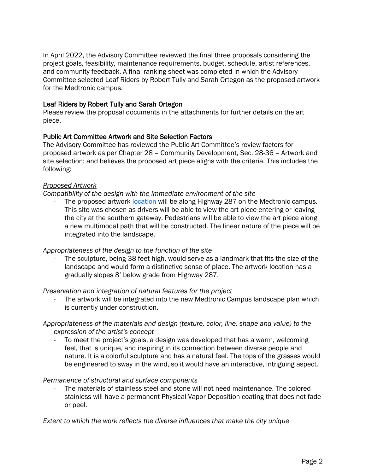In April 2022, the Advisory Committee reviewed the final three proposals considering the project goals, feasibility, maintenance requirements, budget, schedule, artist references, and community feedback. A final ranking sheet was completed in which the Advisory Committee selected Leaf Riders by Robert Tully and Sarah Ortegon as the proposed artwork for the Medtronic campus.

# Leaf Riders by Robert Tully and Sarah Ortegon

Please review the proposal documents in the attachments for further details on the art piece.

# Public Art Committee Artwork and Site Selection Factors

The Advisory Committee has reviewed the Public Art Committee's review factors for proposed artwork as per Chapter 28 – Community Development, Sec. 28-36 – Artwork and site selection; and believes the proposed art piece aligns with the criteria. This includes the following:

### *Proposed Artwork*

### *Compatibility of the design with the immediate environment of the site*

The proposed artwork [location](https://cityoflafayettee-my.sharepoint.com/personal/brigid_keating_lafayetteco_gov/_layouts/15/onedrive.aspx?id=%2Fpersonal%2Fbrigid%5Fkeating%5Flafayetteco%5Fgov%2FDocuments%2FShared%20Files%2FLafayette%20Listens%20for%20Medtronic%2FArt%20Location%2Ejpg&parent=%2Fpersonal%2Fbrigid%5Fkeating%5Flafayetteco%5Fgov%2FDocuments%2FShared%20Files%2FLafayette%20Listens%20for%20Medtronic&ga=1) will be along Highway 287 on the Medtronic campus. This site was chosen as drivers will be able to view the art piece entering or leaving the city at the southern gateway. Pedestrians will be able to view the art piece along a new multimodal path that will be constructed. The linear nature of the piece will be integrated into the landscape.

#### *Appropriateness of the design to the function of the site*

The sculpture, being 38 feet high, would serve as a landmark that fits the size of the landscape and would form a distinctive sense of place. The artwork location has a gradually slopes 8' below grade from Highway 287.

#### *Preservation and integration of natural features for the project*

The artwork will be integrated into the new Medtronic Campus landscape plan which is currently under construction.

# *Appropriateness of the materials and design (texture, color, line, shape and value) to the expression of the artist's concept*

To meet the project's goals, a design was developed that has a warm, welcoming feel, that is unique, and inspiring in its connection between diverse people and nature. It is a colorful sculpture and has a natural feel. The tops of the grasses would be engineered to sway in the wind, so it would have an interactive, intriguing aspect.

#### *Permanence of structural and surface components*

The materials of stainless steel and stone will not need maintenance. The colored stainless will have a permanent Physical Vapor Deposition coating that does not fade or peel.

*Extent to which the work reflects the diverse influences that make the city unique*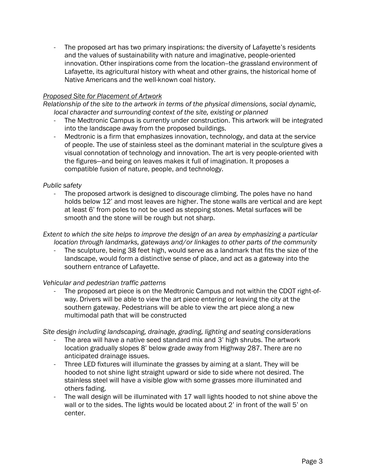The proposed art has two primary inspirations: the diversity of Lafayette's residents and the values of sustainability with nature and imaginative, people-oriented innovation. Other inspirations come from the location--the grassland environment of Lafayette, its agricultural history with wheat and other grains, the historical home of Native Americans and the well-known coal history.

# *Proposed Site for Placement of Artwork*

*Relationship of the site to the artwork in terms of the physical dimensions, social dynamic, local character and surrounding context of the site, existing or planned*

- The Medtronic Campus is currently under construction. This artwork will be integrated into the landscape away from the proposed buildings.
- Medtronic is a firm that emphasizes innovation, technology, and data at the service of people. The use of stainless steel as the dominant material in the sculpture gives a visual connotation of technology and innovation. The art is very people-oriented with the figures—and being on leaves makes it full of imagination. It proposes a compatible fusion of nature, people, and technology.

# *Public safety*

The proposed artwork is designed to discourage climbing. The poles have no hand holds below 12' and most leaves are higher. The stone walls are vertical and are kept at least 6' from poles to not be used as stepping stones. Metal surfaces will be smooth and the stone will be rough but not sharp.

### *Extent to which the site helps to improve the design of an area by emphasizing a particular location through landmarks, gateways and/or linkages to other parts of the community*

The sculpture, being 38 feet high, would serve as a landmark that fits the size of the landscape, would form a distinctive sense of place, and act as a gateway into the southern entrance of Lafayette.

# *Vehicular and pedestrian traffic patterns*

The proposed art piece is on the Medtronic Campus and not within the CDOT right-ofway. Drivers will be able to view the art piece entering or leaving the city at the southern gateway. Pedestrians will be able to view the art piece along a new multimodal path that will be constructed

*Site design including landscaping, drainage, grading, lighting and seating considerations*

- The area will have a native seed standard mix and 3' high shrubs. The artwork location gradually slopes 8' below grade away from Highway 287. There are no anticipated drainage issues.
- Three LED fixtures will illuminate the grasses by aiming at a slant. They will be hooded to not shine light straight upward or side to side where not desired. The stainless steel will have a visible glow with some grasses more illuminated and others fading.
- The wall design will be illuminated with 17 wall lights hooded to not shine above the wall or to the sides. The lights would be located about 2' in front of the wall 5' on center.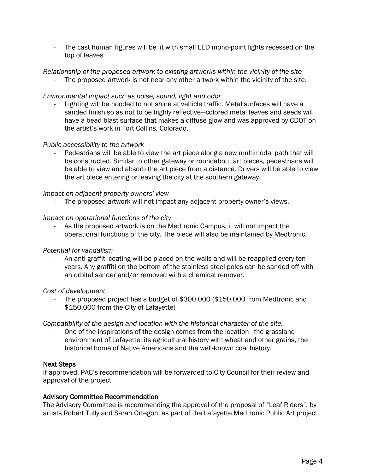The cast human figures will be lit with small LED mono-point lights recessed on the top of leaves

# *Relationship of the proposed artwork to existing artworks within the vicinity of the site*

The proposed artwork is not near any other artwork within the vicinity of the site.

# *Environmental impact such as noise, sound, light and odor*

Lighting will be hooded to not shine at vehicle traffic. Metal surfaces will have a sanded finish so as not to be highly reflective—colored metal leaves and seeds will have a bead blast surface that makes a diffuse glow and was approved by CDOT on the artist's work in Fort Collins, Colorado.

### *Public accessibility to the artwork*

Pedestrians will be able to view the art piece along a new multimodal path that will be constructed. Similar to other gateway or roundabout art pieces, pedestrians will be able to view and absorb the art piece from a distance. Drivers will be able to view the art piece entering or leaving the city at the southern gateway.

### *Impact on adjacent property owners' view*

The proposed artwork will not impact any adjacent property owner's views.

### *Impact on operational functions of the city*

As the proposed artwork is on the Medtronic Campus, it will not impact the operational functions of the city. The piece will also be maintained by Medtronic.

#### *Potential for vandalism*

- An anti-graffiti coating will be placed on the walls and will be reapplied every ten years. Any graffiti on the bottom of the stainless steel poles can be sanded off with an orbital sander and/or removed with a chemical remover.

#### *Cost of development.*

The proposed project has a budget of \$300,000 (\$150,000 from Medtronic and \$150,000 from the City of Lafayette)

*Compatibility of the design and location with the historical character of the site.*

One of the inspirations of the design comes from the location-the grassland environment of Lafayette, its agricultural history with wheat and other grains, the historical home of Native Americans and the well-known coal history.

# Next Steps

If approved, PAC's recommendation will be forwarded to City Council for their review and approval of the project

#### Advisory Committee Recommendation

The Advisory Committee is recommending the approval of the proposal of "Leaf Riders", by artists Robert Tully and Sarah Ortegon, as part of the Lafayette Medtronic Public Art project.